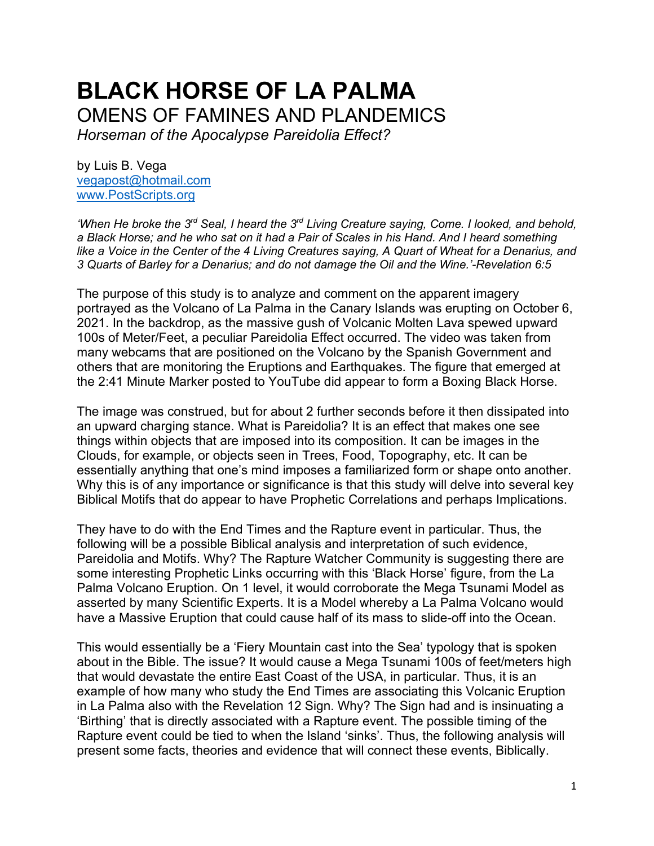# **BLACK HORSE OF LA PALMA** OMENS OF FAMINES AND PLANDEMICS

*Horseman of the Apocalypse Pareidolia Effect?*

by Luis B. Vega [vegapost@hotmail.com](mailto:vegapost@hotmail.com) [www.PostScripts.org](http://www.postscripts.org/)

*'When He broke the 3rd Seal, I heard the 3rd Living Creature saying, Come. I looked, and behold, a Black Horse; and he who sat on it had a Pair of Scales in his Hand. And I heard something like a Voice in the Center of the 4 Living Creatures saying, A Quart of Wheat for a Denarius, and 3 Quarts of Barley for a Denarius; and do not damage the Oil and the Wine.'-Revelation 6:5*

The purpose of this study is to analyze and comment on the apparent imagery portrayed as the Volcano of La Palma in the Canary Islands was erupting on October 6, 2021. In the backdrop, as the massive gush of Volcanic Molten Lava spewed upward 100s of Meter/Feet, a peculiar Pareidolia Effect occurred. The video was taken from many webcams that are positioned on the Volcano by the Spanish Government and others that are monitoring the Eruptions and Earthquakes. The figure that emerged at the 2:41 Minute Marker posted to YouTube did appear to form a Boxing Black Horse.

The image was construed, but for about 2 further seconds before it then dissipated into an upward charging stance. What is Pareidolia? It is an effect that makes one see things within objects that are imposed into its composition. It can be images in the Clouds, for example, or objects seen in Trees, Food, Topography, etc. It can be essentially anything that one's mind imposes a familiarized form or shape onto another. Why this is of any importance or significance is that this study will delve into several key Biblical Motifs that do appear to have Prophetic Correlations and perhaps Implications.

They have to do with the End Times and the Rapture event in particular. Thus, the following will be a possible Biblical analysis and interpretation of such evidence, Pareidolia and Motifs. Why? The Rapture Watcher Community is suggesting there are some interesting Prophetic Links occurring with this 'Black Horse' figure, from the La Palma Volcano Eruption. On 1 level, it would corroborate the Mega Tsunami Model as asserted by many Scientific Experts. It is a Model whereby a La Palma Volcano would have a Massive Eruption that could cause half of its mass to slide-off into the Ocean.

This would essentially be a 'Fiery Mountain cast into the Sea' typology that is spoken about in the Bible. The issue? It would cause a Mega Tsunami 100s of feet/meters high that would devastate the entire East Coast of the USA, in particular. Thus, it is an example of how many who study the End Times are associating this Volcanic Eruption in La Palma also with the Revelation 12 Sign. Why? The Sign had and is insinuating a 'Birthing' that is directly associated with a Rapture event. The possible timing of the Rapture event could be tied to when the Island 'sinks'. Thus, the following analysis will present some facts, theories and evidence that will connect these events, Biblically.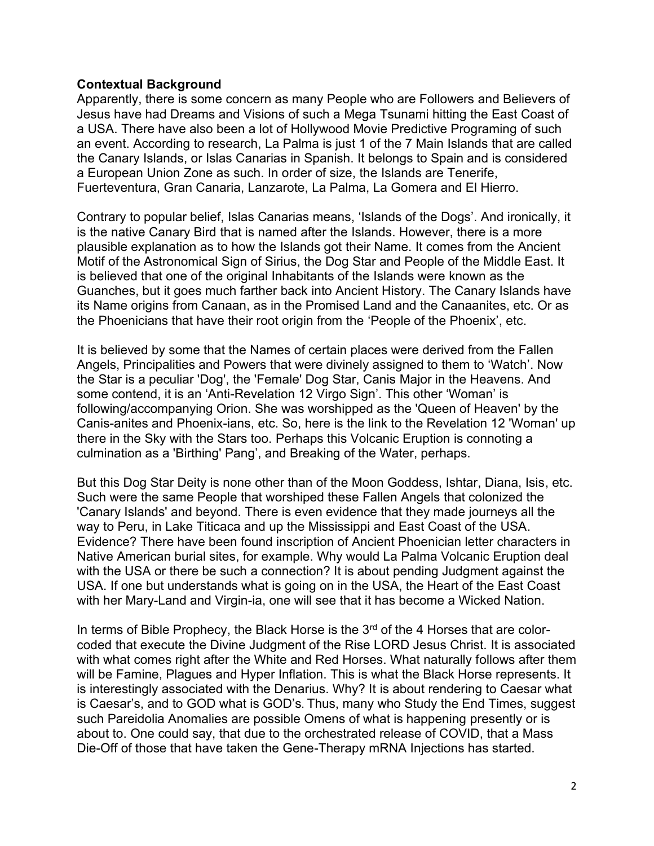# **Contextual Background**

Apparently, there is some concern as many People who are Followers and Believers of Jesus have had Dreams and Visions of such a Mega Tsunami hitting the East Coast of a USA. There have also been a lot of Hollywood Movie Predictive Programing of such an event. According to research, La Palma is just 1 of the 7 Main Islands that are called the Canary Islands, or Islas Canarias in Spanish. It belongs to Spain and is considered a European Union Zone as such. In order of size, the Islands are Tenerife, Fuerteventura, Gran Canaria, Lanzarote, La Palma, La Gomera and El Hierro.

Contrary to popular belief, Islas Canarias means, 'Islands of the Dogs'. And ironically, it is the native Canary Bird that is named after the Islands. However, there is a more plausible explanation as to how the Islands got their Name. It comes from the Ancient Motif of the Astronomical Sign of Sirius, the Dog Star and People of the Middle East. It is believed that one of the original Inhabitants of the Islands were known as the Guanches, but it goes much farther back into Ancient History. The Canary Islands have its Name origins from Canaan, as in the Promised Land and the Canaanites, etc. Or as the Phoenicians that have their root origin from the 'People of the Phoenix', etc.

It is believed by some that the Names of certain places were derived from the Fallen Angels, Principalities and Powers that were divinely assigned to them to 'Watch'. Now the Star is a peculiar 'Dog', the 'Female' Dog Star, Canis Major in the Heavens. And some contend, it is an 'Anti-Revelation 12 Virgo Sign'. This other 'Woman' is following/accompanying Orion. She was worshipped as the 'Queen of Heaven' by the Canis-anites and Phoenix-ians, etc. So, here is the link to the Revelation 12 'Woman' up there in the Sky with the Stars too. Perhaps this Volcanic Eruption is connoting a culmination as a 'Birthing' Pang', and Breaking of the Water, perhaps.

But this Dog Star Deity is none other than of the Moon Goddess, Ishtar, Diana, Isis, etc. Such were the same People that worshiped these Fallen Angels that colonized the 'Canary Islands' and beyond. There is even evidence that they made journeys all the way to Peru, in Lake Titicaca and up the Mississippi and East Coast of the USA. Evidence? There have been found inscription of Ancient Phoenician letter characters in Native American burial sites, for example. Why would La Palma Volcanic Eruption deal with the USA or there be such a connection? It is about pending Judgment against the USA. If one but understands what is going on in the USA, the Heart of the East Coast with her Mary-Land and Virgin-ia, one will see that it has become a Wicked Nation.

In terms of Bible Prophecy, the Black Horse is the  $3<sup>rd</sup>$  of the 4 Horses that are colorcoded that execute the Divine Judgment of the Rise LORD Jesus Christ. It is associated with what comes right after the White and Red Horses. What naturally follows after them will be Famine, Plagues and Hyper Inflation. This is what the Black Horse represents. It is interestingly associated with the Denarius. Why? It is about rendering to Caesar what is Caesar's, and to GOD what is GOD's. Thus, many who Study the End Times, suggest such Pareidolia Anomalies are possible Omens of what is happening presently or is about to. One could say, that due to the orchestrated release of COVID, that a Mass Die-Off of those that have taken the Gene-Therapy mRNA Injections has started.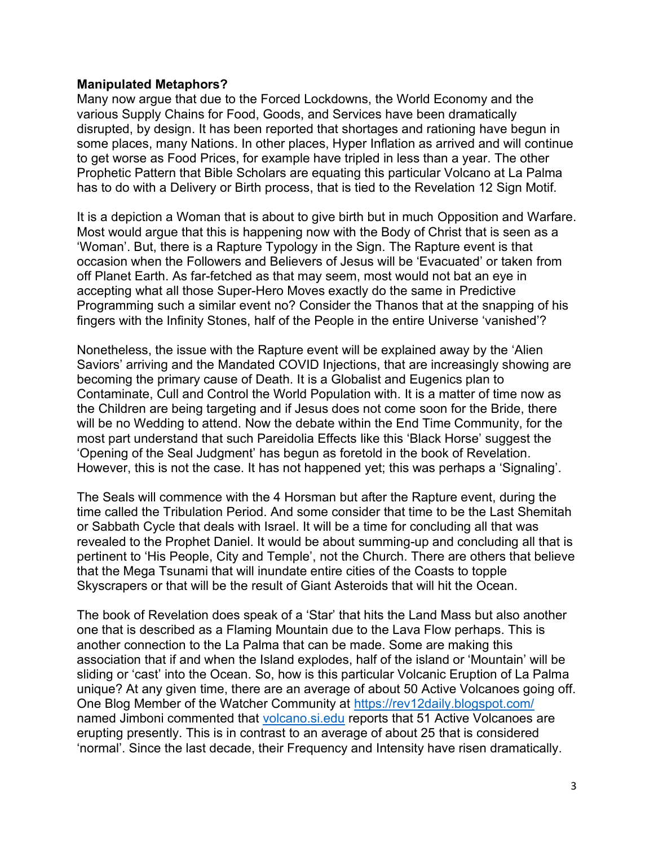## **Manipulated Metaphors?**

Many now argue that due to the Forced Lockdowns, the World Economy and the various Supply Chains for Food, Goods, and Services have been dramatically disrupted, by design. It has been reported that shortages and rationing have begun in some places, many Nations. In other places, Hyper Inflation as arrived and will continue to get worse as Food Prices, for example have tripled in less than a year. The other Prophetic Pattern that Bible Scholars are equating this particular Volcano at La Palma has to do with a Delivery or Birth process, that is tied to the Revelation 12 Sign Motif.

It is a depiction a Woman that is about to give birth but in much Opposition and Warfare. Most would argue that this is happening now with the Body of Christ that is seen as a 'Woman'. But, there is a Rapture Typology in the Sign. The Rapture event is that occasion when the Followers and Believers of Jesus will be 'Evacuated' or taken from off Planet Earth. As far-fetched as that may seem, most would not bat an eye in accepting what all those Super-Hero Moves exactly do the same in Predictive Programming such a similar event no? Consider the Thanos that at the snapping of his fingers with the Infinity Stones, half of the People in the entire Universe 'vanished'?

Nonetheless, the issue with the Rapture event will be explained away by the 'Alien Saviors' arriving and the Mandated COVID Injections, that are increasingly showing are becoming the primary cause of Death. It is a Globalist and Eugenics plan to Contaminate, Cull and Control the World Population with. It is a matter of time now as the Children are being targeting and if Jesus does not come soon for the Bride, there will be no Wedding to attend. Now the debate within the End Time Community, for the most part understand that such Pareidolia Effects like this 'Black Horse' suggest the 'Opening of the Seal Judgment' has begun as foretold in the book of Revelation. However, this is not the case. It has not happened yet; this was perhaps a 'Signaling'.

The Seals will commence with the 4 Horsman but after the Rapture event, during the time called the Tribulation Period. And some consider that time to be the Last Shemitah or Sabbath Cycle that deals with Israel. It will be a time for concluding all that was revealed to the Prophet Daniel. It would be about summing-up and concluding all that is pertinent to 'His People, City and Temple', not the Church. There are others that believe that the Mega Tsunami that will inundate entire cities of the Coasts to topple Skyscrapers or that will be the result of Giant Asteroids that will hit the Ocean.

The book of Revelation does speak of a 'Star' that hits the Land Mass but also another one that is described as a Flaming Mountain due to the Lava Flow perhaps. This is another connection to the La Palma that can be made. Some are making this association that if and when the Island explodes, half of the island or 'Mountain' will be sliding or 'cast' into the Ocean. So, how is this particular Volcanic Eruption of La Palma unique? At any given time, there are an average of about 50 Active Volcanoes going off. One Blog Member of the Watcher Community at<https://rev12daily.blogspot.com/> named Jimboni commented that [volcano.si.edu](http://www.volcano.si.edu/) reports that 51 Active Volcanoes are erupting presently. This is in contrast to an average of about 25 that is considered 'normal'. Since the last decade, their Frequency and Intensity have risen dramatically.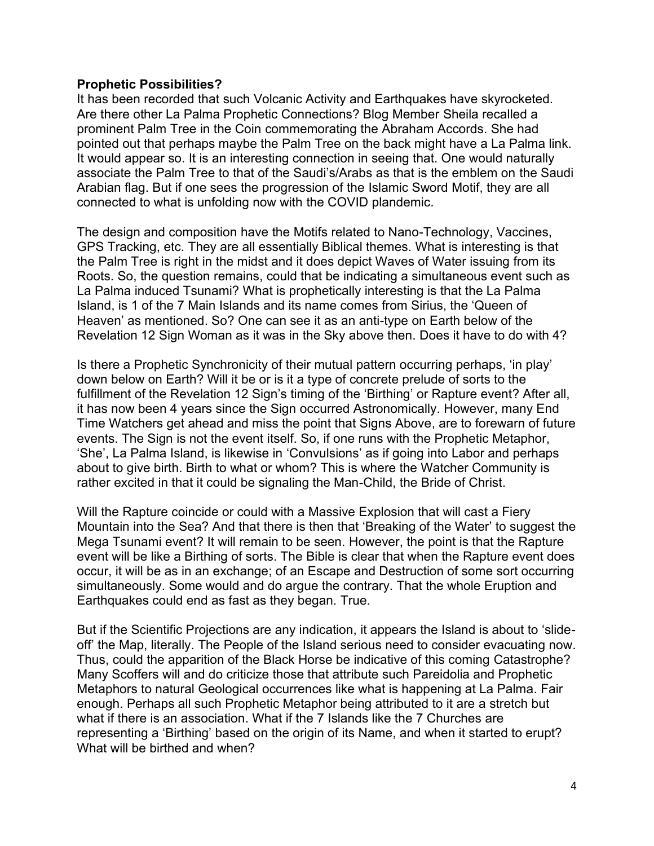## **Prophetic Possibilities?**

It has been recorded that such Volcanic Activity and Earthquakes have skyrocketed. Are there other La Palma Prophetic Connections? Blog Member Sheila recalled a prominent Palm Tree in the Coin commemorating the Abraham Accords. She had pointed out that perhaps maybe the Palm Tree on the back might have a La Palma link. It would appear so. It is an interesting connection in seeing that. One would naturally associate the Palm Tree to that of the Saudi's/Arabs as that is the emblem on the Saudi Arabian flag. But if one sees the progression of the Islamic Sword Motif, they are all connected to what is unfolding now with the COVID plandemic.

The design and composition have the Motifs related to Nano-Technology, Vaccines, GPS Tracking, etc. They are all essentially Biblical themes. What is interesting is that the Palm Tree is right in the midst and it does depict Waves of Water issuing from its Roots. So, the question remains, could that be indicating a simultaneous event such as La Palma induced Tsunami? What is prophetically interesting is that the La Palma Island, is 1 of the 7 Main Islands and its name comes from Sirius, the 'Queen of Heaven' as mentioned. So? One can see it as an anti-type on Earth below of the Revelation 12 Sign Woman as it was in the Sky above then. Does it have to do with 4?

Is there a Prophetic Synchronicity of their mutual pattern occurring perhaps, 'in play' down below on Earth? Will it be or is it a type of concrete prelude of sorts to the fulfillment of the Revelation 12 Sign's timing of the 'Birthing' or Rapture event? After all, it has now been 4 years since the Sign occurred Astronomically. However, many End Time Watchers get ahead and miss the point that Signs Above, are to forewarn of future events. The Sign is not the event itself. So, if one runs with the Prophetic Metaphor, 'She', La Palma Island, is likewise in 'Convulsions' as if going into Labor and perhaps about to give birth. Birth to what or whom? This is where the Watcher Community is rather excited in that it could be signaling the Man-Child, the Bride of Christ.

Will the Rapture coincide or could with a Massive Explosion that will cast a Fiery Mountain into the Sea? And that there is then that 'Breaking of the Water' to suggest the Mega Tsunami event? It will remain to be seen. However, the point is that the Rapture event will be like a Birthing of sorts. The Bible is clear that when the Rapture event does occur, it will be as in an exchange; of an Escape and Destruction of some sort occurring simultaneously. Some would and do argue the contrary. That the whole Eruption and Earthquakes could end as fast as they began. True.

But if the Scientific Projections are any indication, it appears the Island is about to 'slideoff' the Map, literally. The People of the Island serious need to consider evacuating now. Thus, could the apparition of the Black Horse be indicative of this coming Catastrophe? Many Scoffers will and do criticize those that attribute such Pareidolia and Prophetic Metaphors to natural Geological occurrences like what is happening at La Palma. Fair enough. Perhaps all such Prophetic Metaphor being attributed to it are a stretch but what if there is an association. What if the 7 Islands like the 7 Churches are representing a 'Birthing' based on the origin of its Name, and when it started to erupt? What will be birthed and when?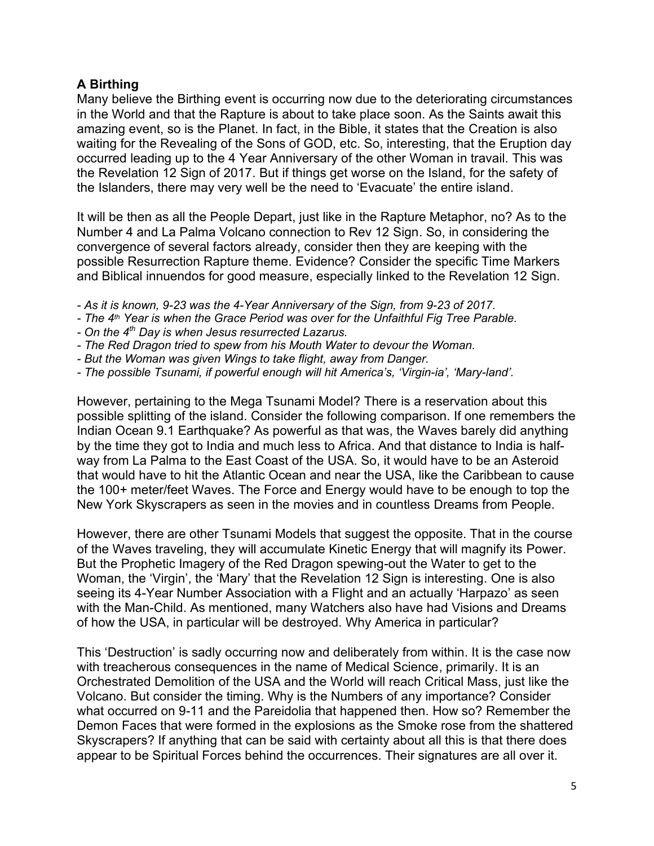# **A Birthing**

Many believe the Birthing event is occurring now due to the deteriorating circumstances in the World and that the Rapture is about to take place soon. As the Saints await this amazing event, so is the Planet. In fact, in the Bible, it states that the Creation is also waiting for the Revealing of the Sons of GOD, etc. So, interesting, that the Eruption day occurred leading up to the 4 Year Anniversary of the other Woman in travail. This was the Revelation 12 Sign of 2017. But if things get worse on the Island, for the safety of the Islanders, there may very well be the need to 'Evacuate' the entire island.

It will be then as all the People Depart, just like in the Rapture Metaphor, no? As to the Number 4 and La Palma Volcano connection to Rev 12 Sign. So, in considering the convergence of several factors already, consider then they are keeping with the possible Resurrection Rapture theme. Evidence? Consider the specific Time Markers and Biblical innuendos for good measure, especially linked to the Revelation 12 Sign.

- *- As it is known, 9-23 was the 4-Year Anniversary of the Sign, from 9-23 of 2017.*
- *- The 4th Year is when the Grace Period was over for the Unfaithful Fig Tree Parable.*
- *- On the 4th Day is when Jesus resurrected Lazarus.*
- *- The Red Dragon tried to spew from his Mouth Water to devour the Woman.*
- *- But the Woman was given Wings to take flight, away from Danger.*
- *- The possible Tsunami, if powerful enough will hit America's, 'Virgin-ia', 'Mary-land'.*

However, pertaining to the Mega Tsunami Model? There is a reservation about this possible splitting of the island. Consider the following comparison. If one remembers the Indian Ocean 9.1 Earthquake? As powerful as that was, the Waves barely did anything by the time they got to India and much less to Africa. And that distance to India is halfway from La Palma to the East Coast of the USA. So, it would have to be an Asteroid that would have to hit the Atlantic Ocean and near the USA, like the Caribbean to cause the 100+ meter/feet Waves. The Force and Energy would have to be enough to top the New York Skyscrapers as seen in the movies and in countless Dreams from People.

However, there are other Tsunami Models that suggest the opposite. That in the course of the Waves traveling, they will accumulate Kinetic Energy that will magnify its Power. But the Prophetic Imagery of the Red Dragon spewing-out the Water to get to the Woman, the 'Virgin', the 'Mary' that the Revelation 12 Sign is interesting. One is also seeing its 4-Year Number Association with a Flight and an actually 'Harpazo' as seen with the Man-Child. As mentioned, many Watchers also have had Visions and Dreams of how the USA, in particular will be destroyed. Why America in particular?

This 'Destruction' is sadly occurring now and deliberately from within. It is the case now with treacherous consequences in the name of Medical Science, primarily. It is an Orchestrated Demolition of the USA and the World will reach Critical Mass, just like the Volcano. But consider the timing. Why is the Numbers of any importance? Consider what occurred on 9-11 and the Pareidolia that happened then. How so? Remember the Demon Faces that were formed in the explosions as the Smoke rose from the shattered Skyscrapers? If anything that can be said with certainty about all this is that there does appear to be Spiritual Forces behind the occurrences. Their signatures are all over it.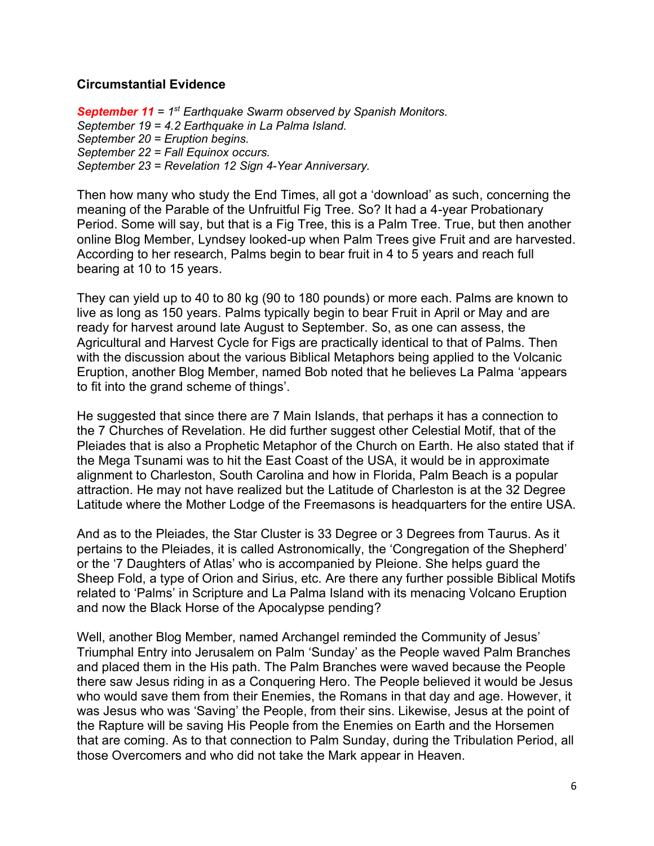# **Circumstantial Evidence**

*September 11 = 1st Earthquake Swarm observed by Spanish Monitors. September 19 = 4.2 Earthquake in La Palma Island. September 20 = Eruption begins. September 22 = Fall Equinox occurs. September 23 = Revelation 12 Sign 4-Year Anniversary.*

Then how many who study the End Times, all got a 'download' as such, concerning the meaning of the Parable of the Unfruitful Fig Tree. So? It had a 4-year Probationary Period. Some will say, but that is a Fig Tree, this is a Palm Tree. True, but then another online Blog Member, Lyndsey looked-up when Palm Trees give Fruit and are harvested. According to her research, Palms begin to bear fruit in 4 to 5 years and reach full bearing at 10 to 15 years.

They can yield up to 40 to 80 kg (90 to 180 pounds) or more each. Palms are known to live as long as 150 years. Palms typically begin to bear Fruit in April or May and are ready for harvest around late August to September. So, as one can assess, the Agricultural and Harvest Cycle for Figs are practically identical to that of Palms. Then with the discussion about the various Biblical Metaphors being applied to the Volcanic Eruption, another Blog Member, named Bob noted that he believes La Palma 'appears to fit into the grand scheme of things'.

He suggested that since there are 7 Main Islands, that perhaps it has a connection to the 7 Churches of Revelation. He did further suggest other Celestial Motif, that of the Pleiades that is also a Prophetic Metaphor of the Church on Earth. He also stated that if the Mega Tsunami was to hit the East Coast of the USA, it would be in approximate alignment to Charleston, South Carolina and how in Florida, Palm Beach is a popular attraction. He may not have realized but the Latitude of Charleston is at the 32 Degree Latitude where the Mother Lodge of the Freemasons is headquarters for the entire USA.

And as to the Pleiades, the Star Cluster is 33 Degree or 3 Degrees from Taurus. As it pertains to the Pleiades, it is called Astronomically, the 'Congregation of the Shepherd' or the '7 Daughters of Atlas' who is accompanied by Pleione. She helps guard the Sheep Fold, a type of Orion and Sirius, etc. Are there any further possible Biblical Motifs related to 'Palms' in Scripture and La Palma Island with its menacing Volcano Eruption and now the Black Horse of the Apocalypse pending?

Well, another Blog Member, named Archangel reminded the Community of Jesus' Triumphal Entry into Jerusalem on Palm 'Sunday' as the People waved Palm Branches and placed them in the His path. The Palm Branches were waved because the People there saw Jesus riding in as a Conquering Hero. The People believed it would be Jesus who would save them from their Enemies, the Romans in that day and age. However, it was Jesus who was 'Saving' the People, from their sins. Likewise, Jesus at the point of the Rapture will be saving His People from the Enemies on Earth and the Horsemen that are coming. As to that connection to Palm Sunday, during the Tribulation Period, all those Overcomers and who did not take the Mark appear in Heaven.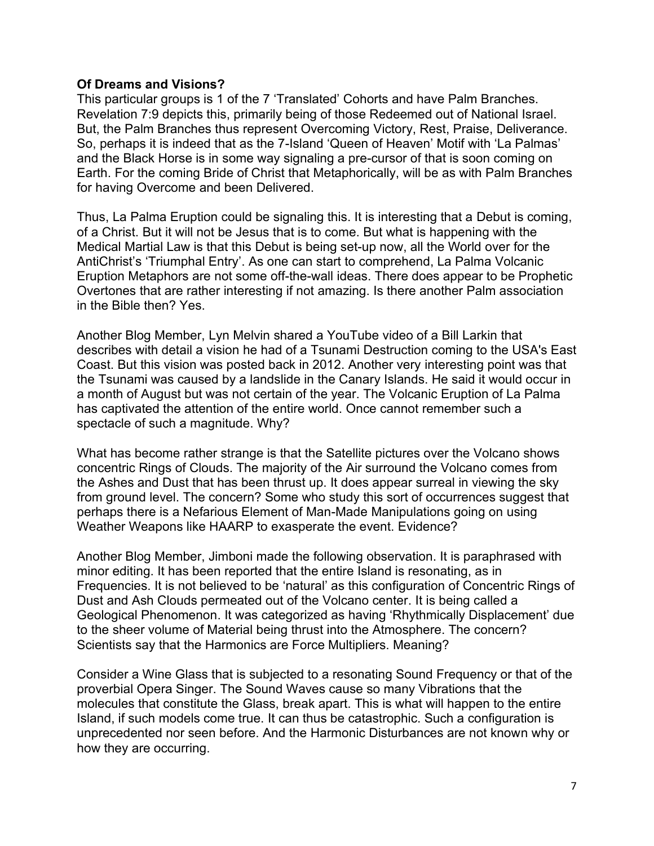# **Of Dreams and Visions?**

This particular groups is 1 of the 7 'Translated' Cohorts and have Palm Branches. Revelation 7:9 depicts this, primarily being of those Redeemed out of National Israel. But, the Palm Branches thus represent Overcoming Victory, Rest, Praise, Deliverance. So, perhaps it is indeed that as the 7-Island 'Queen of Heaven' Motif with 'La Palmas' and the Black Horse is in some way signaling a pre-cursor of that is soon coming on Earth. For the coming Bride of Christ that Metaphorically, will be as with Palm Branches for having Overcome and been Delivered.

Thus, La Palma Eruption could be signaling this. It is interesting that a Debut is coming, of a Christ. But it will not be Jesus that is to come. But what is happening with the Medical Martial Law is that this Debut is being set-up now, all the World over for the AntiChrist's 'Triumphal Entry'. As one can start to comprehend, La Palma Volcanic Eruption Metaphors are not some off-the-wall ideas. There does appear to be Prophetic Overtones that are rather interesting if not amazing. Is there another Palm association in the Bible then? Yes.

Another Blog Member, Lyn Melvin shared a YouTube video of a Bill Larkin that describes with detail a vision he had of a Tsunami Destruction coming to the USA's East Coast. But this vision was posted back in 2012. Another very interesting point was that the Tsunami was caused by a landslide in the Canary Islands. He said it would occur in a month of August but was not certain of the year. The Volcanic Eruption of La Palma has captivated the attention of the entire world. Once cannot remember such a spectacle of such a magnitude. Why?

What has become rather strange is that the Satellite pictures over the Volcano shows concentric Rings of Clouds. The majority of the Air surround the Volcano comes from the Ashes and Dust that has been thrust up. It does appear surreal in viewing the sky from ground level. The concern? Some who study this sort of occurrences suggest that perhaps there is a Nefarious Element of Man-Made Manipulations going on using Weather Weapons like HAARP to exasperate the event. Evidence?

Another Blog Member, Jimboni made the following observation. It is paraphrased with minor editing. It has been reported that the entire Island is resonating, as in Frequencies. It is not believed to be 'natural' as this configuration of Concentric Rings of Dust and Ash Clouds permeated out of the Volcano center. It is being called a Geological Phenomenon. It was categorized as having 'Rhythmically Displacement' due to the sheer volume of Material being thrust into the Atmosphere. The concern? Scientists say that the Harmonics are Force Multipliers. Meaning?

Consider a Wine Glass that is subjected to a resonating Sound Frequency or that of the proverbial Opera Singer. The Sound Waves cause so many Vibrations that the molecules that constitute the Glass, break apart. This is what will happen to the entire Island, if such models come true. It can thus be catastrophic. Such a configuration is unprecedented nor seen before. And the Harmonic Disturbances are not known why or how they are occurring.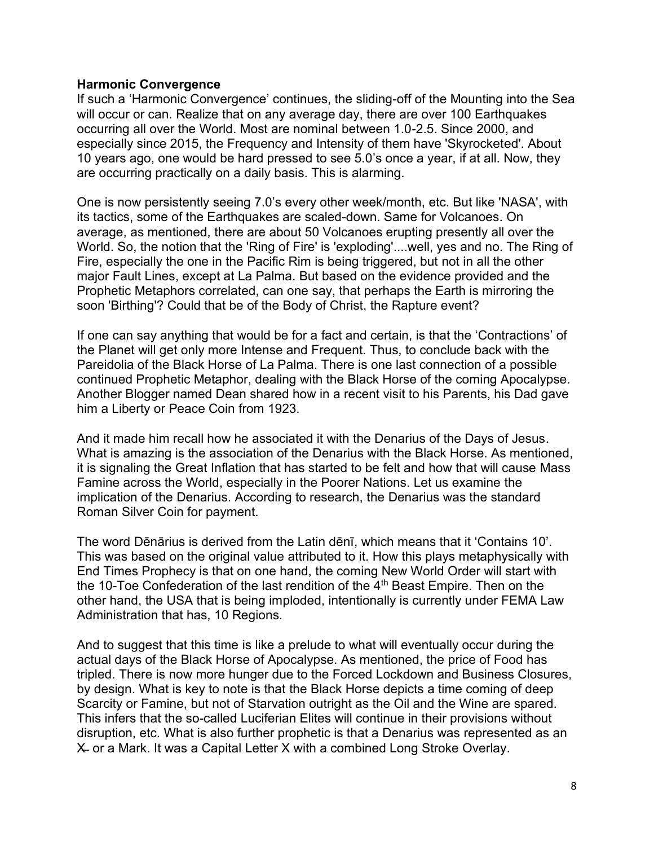# **Harmonic Convergence**

If such a 'Harmonic Convergence' continues, the sliding-off of the Mounting into the Sea will occur or can. Realize that on any average day, there are over 100 Earthquakes occurring all over the World. Most are nominal between 1.0-2.5. Since 2000, and especially since 2015, the Frequency and Intensity of them have 'Skyrocketed'. About 10 years ago, one would be hard pressed to see 5.0's once a year, if at all. Now, they are occurring practically on a daily basis. This is alarming.

One is now persistently seeing 7.0's every other week/month, etc. But like 'NASA', with its tactics, some of the Earthquakes are scaled-down. Same for Volcanoes. On average, as mentioned, there are about 50 Volcanoes erupting presently all over the World. So, the notion that the 'Ring of Fire' is 'exploding'....well, yes and no. The Ring of Fire, especially the one in the Pacific Rim is being triggered, but not in all the other major Fault Lines, except at La Palma. But based on the evidence provided and the Prophetic Metaphors correlated, can one say, that perhaps the Earth is mirroring the soon 'Birthing'? Could that be of the Body of Christ, the Rapture event?

If one can say anything that would be for a fact and certain, is that the 'Contractions' of the Planet will get only more Intense and Frequent. Thus, to conclude back with the Pareidolia of the Black Horse of La Palma. There is one last connection of a possible continued Prophetic Metaphor, dealing with the Black Horse of the coming Apocalypse. Another Blogger named Dean shared how in a recent visit to his Parents, his Dad gave him a Liberty or Peace Coin from 1923.

And it made him recall how he associated it with the Denarius of the Days of Jesus. What is amazing is the association of the Denarius with the Black Horse. As mentioned, it is signaling the Great Inflation that has started to be felt and how that will cause Mass Famine across the World, especially in the Poorer Nations. Let us examine the implication of the Denarius. According to research, the Denarius was the standard Roman Silver Coin for payment.

The word Dēnārius is derived from the Latin dēnī, which means that it 'Contains 10'. This was based on the original value attributed to it. How this plays metaphysically with End Times Prophecy is that on one hand, the coming New World Order will start with the 10-Toe Confederation of the last rendition of the 4<sup>th</sup> Beast Empire. Then on the other hand, the USA that is being imploded, intentionally is currently under FEMA Law Administration that has, 10 Regions.

And to suggest that this time is like a prelude to what will eventually occur during the actual days of the Black Horse of Apocalypse. As mentioned, the price of Food has tripled. There is now more hunger due to the Forced Lockdown and Business Closures, by design. What is key to note is that the Black Horse depicts a time coming of deep Scarcity or Famine, but not of Starvation outright as the Oil and the Wine are spared. This infers that the so-called Luciferian Elites will continue in their provisions without disruption, etc. What is also further prophetic is that a Denarius was represented as an X̶ or a Mark. It was a Capital Letter X with a combined Long Stroke Overlay.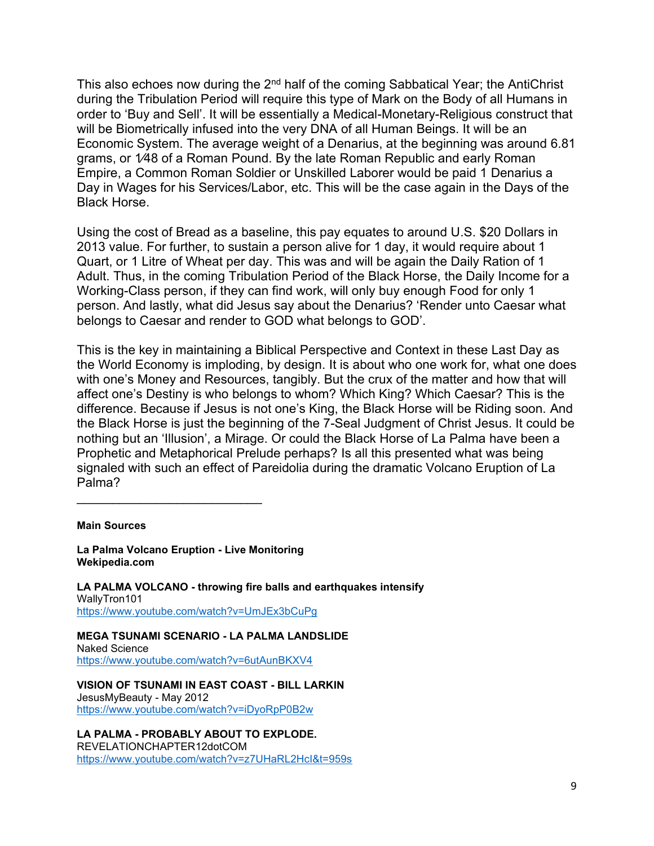This also echoes now during the  $2<sup>nd</sup>$  half of the coming Sabbatical Year; the AntiChrist during the Tribulation Period will require this type of Mark on the Body of all Humans in order to 'Buy and Sell'. It will be essentially a Medical-Monetary-Religious construct that will be Biometrically infused into the very DNA of all Human Beings. It will be an Economic System. The average weight of a Denarius, at the beginning was around 6.81 grams, or 1⁄48 of a Roman Pound. By the late Roman Republic and early Roman Empire, a Common Roman Soldier or Unskilled Laborer would be paid 1 Denarius a Day in Wages for his Services/Labor, etc. This will be the case again in the Days of the Black Horse.

Using the cost of Bread as a baseline, this pay equates to around U.S. \$20 Dollars in 2013 value. For further, to sustain a person alive for 1 day, it would require about 1 Quart, or 1 Litre of Wheat per day. This was and will be again the Daily Ration of 1 Adult. Thus, in the coming Tribulation Period of the Black Horse, the Daily Income for a Working-Class person, if they can find work, will only buy enough Food for only 1 person. And lastly, what did Jesus say about the Denarius? 'Render unto Caesar what belongs to Caesar and render to GOD what belongs to GOD'.

This is the key in maintaining a Biblical Perspective and Context in these Last Day as the World Economy is imploding, by design. It is about who one work for, what one does with one's Money and Resources, tangibly. But the crux of the matter and how that will affect one's Destiny is who belongs to whom? Which King? Which Caesar? This is the difference. Because if Jesus is not one's King, the Black Horse will be Riding soon. And the Black Horse is just the beginning of the 7-Seal Judgment of Christ Jesus. It could be nothing but an 'Illusion', a Mirage. Or could the Black Horse of La Palma have been a Prophetic and Metaphorical Prelude perhaps? Is all this presented what was being signaled with such an effect of Pareidolia during the dramatic Volcano Eruption of La Palma?

**Main Sources**

**La Palma Volcano Eruption - Live Monitoring Wekipedia.com**

 $\mathcal{L}_\text{max}$  , where  $\mathcal{L}_\text{max}$  , we have the set of the set of the set of the set of the set of the set of the set of the set of the set of the set of the set of the set of the set of the set of the set of the set of

**LA PALMA VOLCANO - throwing fire balls and earthquakes intensify** WallyTron101 <https://www.youtube.com/watch?v=UmJEx3bCuPg>

**MEGA TSUNAMI SCENARIO - LA PALMA LANDSLIDE** Naked Science <https://www.youtube.com/watch?v=6utAunBKXV4>

**VISION OF TSUNAMI IN EAST COAST - BILL LARKIN**  JesusMyBeauty - May 2012 <https://www.youtube.com/watch?v=iDyoRpP0B2w>

**LA PALMA - PROBABLY ABOUT TO EXPLODE.** REVELATIONCHAPTER12dotCOM <https://www.youtube.com/watch?v=z7UHaRL2HcI&t=959s>